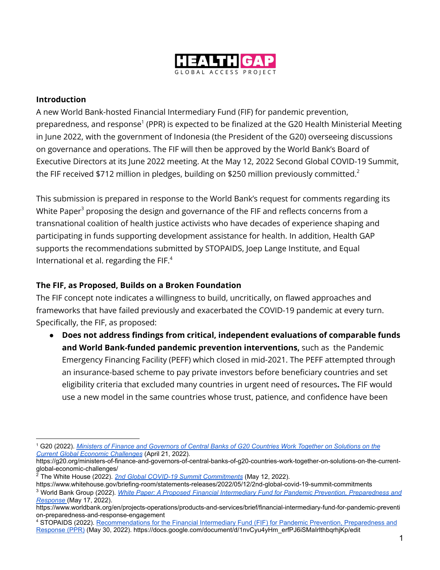

#### **Introduction**

A new World Bank-hosted Financial Intermediary Fund (FIF) for pandemic prevention, preparedness, and response<sup>1</sup> (PPR) is expected to be finalized at the G20 Health Ministerial Meeting in June 2022, with the government of Indonesia (the President of the G20) overseeing discussions on governance and operations. The FIF will then be approved by the World Bank's Board of Executive Directors at its June 2022 meeting. At the May 12, 2022 Second Global COVID-19 Summit, the FIF received \$712 million in pledges, building on \$250 million previously committed. $^2$ 

This submission is prepared in response to the World Bank's request for comments regarding its White Paper<sup>3</sup> proposing the design and governance of the FIF and reflects concerns from a transnational coalition of health justice activists who have decades of experience shaping and participating in funds supporting development assistance for health. In addition, Health GAP supports the recommendations submitted by STOPAIDS, Joep Lange Institute, and Equal International et al. regarding the FIF. $<sup>4</sup>$ </sup>

### **The FIF, as Proposed, Builds on a Broken Foundation**

The FIF concept note indicates a willingness to build, uncritically, on flawed approaches and frameworks that have failed previously and exacerbated the COVID-19 pandemic at every turn. Specifically, the FIF, as proposed:

● **Does not address findings from critical, independent evaluations of comparable funds and World Bank-funded pandemic prevention interventions,** such as the Pandemic Emergency Financing Facility (PEFF) which closed in mid-2021. The PEFF attempted through an insurance-based scheme to pay private investors before beneficiary countries and set eligibility criteria that excluded many countries in urgent need of resources**.** The FIF would use a new model in the same countries whose trust, patience, and confidence have been

<sup>1</sup> G20 (2022). *Ministers of Finance and Governors of [Central Banks of G20 Countries Work Together on Solutions on the](https://g20.org/ministers-of-finance-and-governors-of-central-banks-of-g20-countries-work-together-on-solutions-on-the-current-global-economic-challenges) [Current Global Economic Challenges](https://g20.org/ministers-of-finance-and-governors-of-central-banks-of-g20-countries-work-together-on-solutions-on-the-current-global-economic-challenges)* (April 21, 2022)*.*

https://g20.org/ministers-of-finance-and-governors-of-central-banks-of-g20-countries-work-together-on-solutions-on-the-currentglobal-economic-challenges/

<sup>2</sup> The White House (2022). *[2nd Global COVID-19 Summit](https://www.whitehouse.gov/briefing-room/statements-releases/2022/05/12/2nd-global-covid-19-summit-commitments) Commitments* (May 12, 2022).

https://www.whitehouse.gov/briefing-room/statements-releases/2022/05/12/2nd-global-covid-19-summit-commitments

<sup>3</sup> World Bank Group (2022). *White Paper: A Proposed [Financial Intermediary Fund for Pandemic Prevention, Preparedness and](https://www.worldbank.org/en/projects-operations/products-and-services/brief/financial-intermediary-fund-for-pandemic-prevention-preparedness-and-response-engagement) [Response](https://www.worldbank.org/en/projects-operations/products-and-services/brief/financial-intermediary-fund-for-pandemic-prevention-preparedness-and-response-engagement)* (May 17, 2022).

https://www.worldbank.org/en/projects-operations/products-and-services/brief/financial-intermediary-fund-for-pandemic-preventi on-preparedness-and-response-engagement

<sup>4</sup> STOPAIDS (2022). Recommendations for the Financial [Intermediary Fund \(FIF\) for Pandemic Prevention, Preparedness and](https://docs.google.com/document/d/1nvCyu4yHm_erfPJ6iSMaIrlthbqrhjKp/edit) [Response \(PPR\)](https://docs.google.com/document/d/1nvCyu4yHm_erfPJ6iSMaIrlthbqrhjKp/edit) (May 30, 2022). https://docs.google.com/document/d/1nvCyu4yHm\_erfPJ6iSMaIrlthbqrhjKp/edit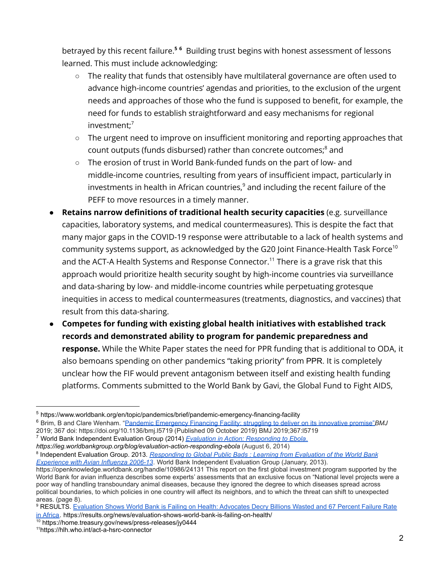betrayed by this recent failure. **<sup>5</sup> <sup>6</sup>** Building trust begins with honest assessment of lessons learned. This must include acknowledging:

- The reality that funds that ostensibly have multilateral governance are often used to advance high-income countries' agendas and priorities, to the exclusion of the urgent needs and approaches of those who the fund is supposed to benefit, for example, the need for funds to establish straightforward and easy mechanisms for regional investment; 7
- The urgent need to improve on insufficient monitoring and reporting approaches that count outputs (funds disbursed) rather than concrete outcomes; <sup>8</sup> and
- The erosion of trust in World Bank-funded funds on the part of low- and middle-income countries, resulting from years of insufficient impact, particularly in investments in health in African countries, $^9$  and including the recent failure of the PEFF to move resources in a timely manner.
- **Retains narrow definitions of traditional health security capacities** (e.g. surveillance capacities, laboratory systems, and medical countermeasures). This is despite the fact that many major gaps in the COVID-19 response were attributable to a lack of health systems and community systems support, as acknowledged by the G20 Joint Finance-Health Task Force $^{10}$ and the ACT-A Health Systems and Response Connector.<sup>11</sup> There is a grave risk that this approach would prioritize health security sought by high-income countries via surveillance and data-sharing by low- and middle-income countries while perpetuating grotesque inequities in access to medical countermeasures (treatments, diagnostics, and vaccines) that result from this data-sharing.
- **Competes for funding with existing global health initiatives with established track records and demonstrated ability to program for pandemic preparedness and response.** While the White Paper states the need for PPR funding that is additional to ODA, it also bemoans spending on other pandemics "taking priority" from PPR. It is completely unclear how the FIF would prevent antagonism between itself and existing health funding platforms. Comments submitted to the World Bank by Gavi, the Global Fund to Fight AIDS,

8 Independent Evaluation Group. 2013. *Responding to [Global Public Bads : Learning from Evaluation of the World Bank](https://openknowledge.worldbank.org/handle/10986/24131https://openknowledge.worldbank.org/handle/10986/24131) [Experience with Avian Influenza 2006-13](https://openknowledge.worldbank.org/handle/10986/24131https://openknowledge.worldbank.org/handle/10986/24131).* World Bank Independent Evaluation Group (January, 2013).

<sup>5</sup> https://www.worldbank.org/en/topic/pandemics/brief/pandemic-emergency-financing-facility

<sup>6</sup> Brim, B and Clare Wenham. "Pandemic Emergency Financing [Facility: struggling to deliver on its innovative promise"](https://doi.org/10.1136/bmj.l5719)*BMJ* 2019; 367 doi: https://doi.org/10.1136/bmj.l5719 (Published 09 October 2019) BMJ 2019;367:l5719

<sup>7</sup> World Bank Independent Evaluation Group (2014) *Evaluation [in Action: Responding to Ebola](https://ieg.worldbankgroup.org/blog/evaluation-action-responding-ebola)*. *https://ieg.worldbankgroup.org/blog/evaluation-action-responding-ebola* (August 6, 2014)

https://openknowledge.worldbank.org/handle/10986/24131 This report on the first global investment program supported by the World Bank for avian influenza describes some experts' assessments that an exclusive focus on "National level projects were a poor way of handling transboundary animal diseases, because they ignored the degree to which diseases spread across political boundaries, to which policies in one country will affect its neighbors, and to which the threat can shift to unexpected areas. (page 8).

<sup>&</sup>lt;sup>9</sup> RESULTS. Evaluation Shows World Bank is Failing on [Health: Advocates Decry Billions Wasted and 67 Percent Failure Rate](https://results.org/news/evaluation-shows-world-bank-is-failing-on-health/) [in Africa.](https://results.org/news/evaluation-shows-world-bank-is-failing-on-health/) https://results.org/news/evaluation-shows-world-bank-is-failing-on-health/

<sup>10</sup> https://home.treasury.gov/news/press-releases/jy0444

<sup>11</sup>https://hlh.who.int/act-a-hsrc-connector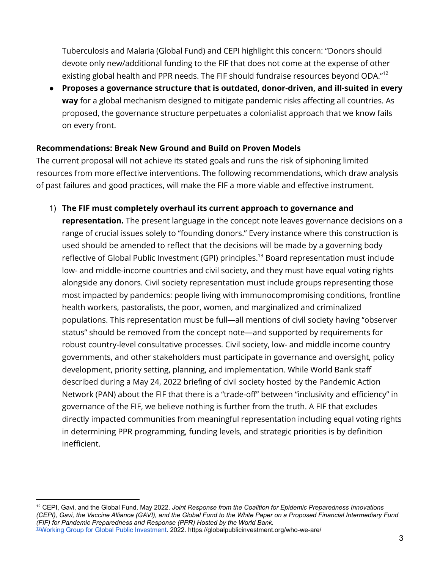Tuberculosis and Malaria (Global Fund) and CEPI highlight this concern: "Donors should devote only new/additional funding to the FIF that does not come at the expense of other existing global health and PPR needs. The FIF should fundraise resources beyond ODA."<sup>12</sup>

● **Proposes a governance structure that is outdated, donor-driven, and ill-suited in every way** for a global mechanism designed to mitigate pandemic risks affecting all countries. As proposed, the governance structure perpetuates a colonialist approach that we know fails on every front.

## **Recommendations: Break New Ground and Build on Proven Models**

The current proposal will not achieve its stated goals and runs the risk of siphoning limited resources from more effective interventions. The following recommendations, which draw analysis of past failures and good practices, will make the FIF a more viable and effective instrument.

# 1) **The FIF must completely overhaul its current approach to governance and**

**representation.** The present language in the concept note leaves governance decisions on a range of crucial issues solely to "founding donors." Every instance where this construction is used should be amended to reflect that the decisions will be made by a governing body reflective of Global Public Investment (GPI) principles. <sup>13</sup> Board representation must include low- and middle-income countries and civil society, and they must have equal voting rights alongside any donors. Civil society representation must include groups representing those most impacted by pandemics: people living with immunocompromising conditions, frontline health workers, pastoralists, the poor, women, and marginalized and criminalized populations. This representation must be full—all mentions of civil society having "observer status" should be removed from the concept note—and supported by requirements for robust country-level consultative processes. Civil society, low- and middle income country governments, and other stakeholders must participate in governance and oversight, policy development, priority setting, planning, and implementation. While World Bank staff described during a May 24, 2022 briefing of civil society hosted by the Pandemic Action Network (PAN) about the FIF that there is a "trade-off" between "inclusivity and efficiency" in governance of the FIF, we believe nothing is further from the truth. A FIF that excludes directly impacted communities from meaningful representation including equal voting rights in determining PPR programming, funding levels, and strategic priorities is by definition inefficient.

<sup>13</sup>[Working Group for Global Public Investment.](https://globalpublicinvestment.org/who-we-are/) 2022. https://globalpublicinvestment.org/who-we-are/ <sup>12</sup> CEPI, Gavi, and the Global Fund. May 2022. *Joint Response from the Coalition for Epidemic Preparedness Innovations (CEPI), Gavi, the Vaccine Alliance (GAVI), and the Global Fund to the White Paper on a Proposed Financial Intermediary Fund (FIF) for Pandemic Preparedness and Response (PPR) Hosted by the World Bank.*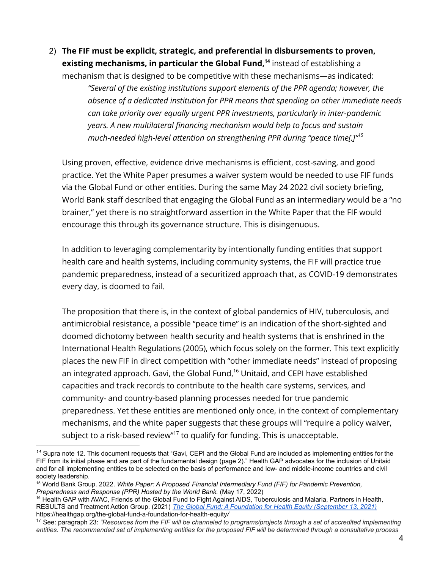2) **The FIF must be explicit, strategic, and preferential in disbursements to proven, existing mechanisms, in particular the Global Fund, 14** instead of establishing a

mechanism that is designed to be competitive with these mechanisms—as indicated: *"Several of the existing institutions support elements of the PPR agenda; however, the absence of a dedicated institution for PPR means that spending on other immediate needs can take priority over equally urgent PPR investments, particularly in inter-pandemic years. A new multilateral financing mechanism would help to focus and sustain much-needed high-level attention on strengthening PPR during "peace time[.]" 15*

Using proven, effective, evidence drive mechanisms is efficient, cost-saving, and good practice. Yet the White Paper presumes a waiver system would be needed to use FIF funds via the Global Fund or other entities. During the same May 24 2022 civil society briefing, World Bank staff described that engaging the Global Fund as an intermediary would be a "no brainer," yet there is no straightforward assertion in the White Paper that the FIF would encourage this through its governance structure. This is disingenuous.

In addition to leveraging complementarity by intentionally funding entities that support health care and health systems, including community systems, the FIF will practice true pandemic preparedness, instead of a securitized approach that, as COVID-19 demonstrates every day, is doomed to fail.

The proposition that there is, in the context of global pandemics of HIV, tuberculosis, and antimicrobial resistance, a possible "peace time" is an indication of the short-sighted and doomed dichotomy between health security and health systems that is enshrined in the International Health Regulations (2005), which focus solely on the former. This text explicitly places the new FIF in direct competition with "other immediate needs" instead of proposing an integrated approach. Gavi, the Global Fund, <sup>16</sup> Unitaid, and CEPI have established capacities and track records to contribute to the health care systems, services, and community- and country-based planning processes needed for true pandemic preparedness. Yet these entities are mentioned only once, in the context of complementary mechanisms, and the white paper suggests that these groups will "require a policy waiver, subject to a risk-based review"<sup>17</sup> to qualify for funding. This is unacceptable.

*<sup>14</sup>* Supra note 12. This document requests that "Gavi, CEPI and the Global Fund are included as implementing entities for the FIF from its initial phase and are part of the fundamental design (page 2)." Health GAP advocates for the inclusion of Unitaid and for all implementing entities to be selected on the basis of performance and low- and middle-income countries and civil society leadership.

<sup>15</sup> World Bank Group. 2022. *White Paper: A Proposed Financial Intermediary Fund (FIF) for Pandemic Prevention, Preparedness and Response (PPR) Hosted by the World Bank.* (May 17, 2022)

<sup>&</sup>lt;sup>16</sup> Health GAP with AVAC, Friends of the Global Fund to Fight Against AIDS, Tuberculosis and Malaria, Partners in Health, RESULTS and Treatment Action Group. (2021) *The Global [Fund: A Foundation for Health Equity \(September 13, 2021\)](https://healthgap.org/the-global-fund-a-foundation-for-health-equity/)* https://healthgap.org/the-global-fund-a-foundation-for-health-equity*/*

<sup>17</sup> See: paragraph 23: *"Resources from the FIF will be channeled to programs/projects through a set of accredited implementing entities. The recommended set of implementing entities for the proposed FIF will be determined through a consultative process*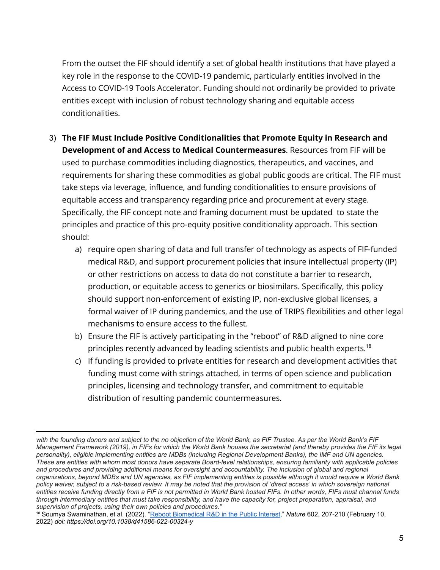From the outset the FIF should identify a set of global health institutions that have played a key role in the response to the COVID-19 pandemic, particularly entities involved in the Access to COVID-19 Tools Accelerator. Funding should not ordinarily be provided to private entities except with inclusion of robust technology sharing and equitable access conditionalities.

- 3) **The FIF Must Include Positive Conditionalities that Promote Equity in Research and Development of and Access to Medical Countermeasures**. Resources from FIF will be used to purchase commodities including diagnostics, therapeutics, and vaccines, and requirements for sharing these commodities as global public goods are critical. The FIF must take steps via leverage, influence, and funding conditionalities to ensure provisions of equitable access and transparency regarding price and procurement at every stage. Specifically, the FIF concept note and framing document must be updated to state the principles and practice of this pro-equity positive conditionality approach. This section should:
	- a) require open sharing of data and full transfer of technology as aspects of FIF-funded medical R&D, and support procurement policies that insure intellectual property (IP) or other restrictions on access to data do not constitute a barrier to research, production, or equitable access to generics or biosimilars. Specifically, this policy should support non-enforcement of existing IP, non-exclusive global licenses, a formal waiver of IP during pandemics, and the use of TRIPS flexibilities and other legal mechanisms to ensure access to the fullest.
	- b) Ensure the FIF is actively participating in the "reboot" of R&D aligned to nine core principles recently advanced by leading scientists and public health experts.<sup>18</sup>
	- c) If funding is provided to private entities for research and development activities that funding must come with strings attached, in terms of open science and publication principles, licensing and technology transfer, and commitment to equitable distribution of resulting pandemic countermeasures.

*with the founding donors and subject to the no objection of the World Bank, as FIF Trustee. As per the World Bank's FIF Management Framework (2019), in FIFs for which the World Bank houses the secretariat (and thereby provides the FIF its legal personality), eligible implementing entities are MDBs (including Regional Development Banks), the IMF and UN agencies. These are entities with whom most donors have separate Board-level relationships, ensuring familiarity with applicable policies and procedures and providing additional means for oversight and accountability. The inclusion of global and regional organizations, beyond MDBs and UN agencies, as FIF implementing entities is possible although it would require a World Bank policy waiver, subject to a risk-based review. It may be noted that the provision of 'direct access' in which sovereign national entities receive funding directly from a FIF is not permitted in World Bank hosted FIFs. In other words, FIFs must channel funds through intermediary entities that must take responsibility, and have the capacity for, project preparation, appraisal, and supervision of projects, using their own policies and procedures."*

<sup>&</sup>lt;sup>18</sup> Soumya Swaminathan, et al. (2022). "Reboot Biomedical [R&D in the Public Interest](https://doi.org/10.1038/d41586-022-00324-y)," Nature 602, 207-210 (February 10, 2022) *doi: https://doi.org/10.1038/d41586-022-00324-y*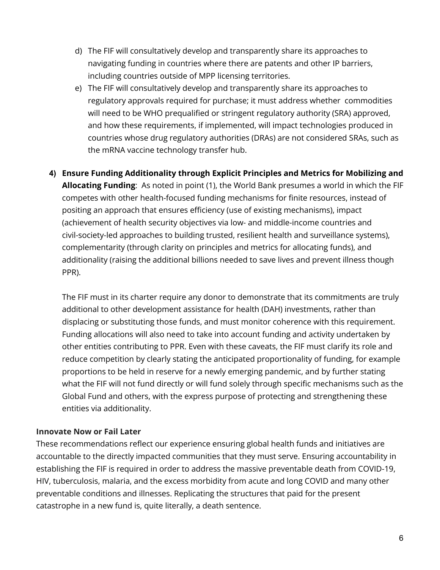- d) The FIF will consultatively develop and transparently share its approaches to navigating funding in countries where there are patents and other IP barriers, including countries outside of MPP licensing territories.
- e) The FIF will consultatively develop and transparently share its approaches to regulatory approvals required for purchase; it must address whether commodities will need to be WHO prequalified or stringent regulatory authority (SRA) approved, and how these requirements, if implemented, will impact technologies produced in countries whose drug regulatory authorities (DRAs) are not considered SRAs, such as the mRNA vaccine technology transfer hub.
- **4) Ensure Funding Additionality through Explicit Principles and Metrics for Mobilizing and Allocating Funding**: As noted in point (1), the World Bank presumes a world in which the FIF competes with other health-focused funding mechanisms for finite resources, instead of positing an approach that ensures efficiency (use of existing mechanisms), impact (achievement of health security objectives via low- and middle-income countries and civil-society-led approaches to building trusted, resilient health and surveillance systems), complementarity (through clarity on principles and metrics for allocating funds), and additionality (raising the additional billions needed to save lives and prevent illness though PPR).

The FIF must in its charter require any donor to demonstrate that its commitments are truly additional to other development assistance for health (DAH) investments, rather than displacing or substituting those funds, and must monitor coherence with this requirement. Funding allocations will also need to take into account funding and activity undertaken by other entities contributing to PPR. Even with these caveats, the FIF must clarify its role and reduce competition by clearly stating the anticipated proportionality of funding, for example proportions to be held in reserve for a newly emerging pandemic, and by further stating what the FIF will not fund directly or will fund solely through specific mechanisms such as the Global Fund and others, with the express purpose of protecting and strengthening these entities via additionality.

### **Innovate Now or Fail Later**

These recommendations reflect our experience ensuring global health funds and initiatives are accountable to the directly impacted communities that they must serve. Ensuring accountability in establishing the FIF is required in order to address the massive preventable death from COVID-19, HIV, tuberculosis, malaria, and the excess morbidity from acute and long COVID and many other preventable conditions and illnesses. Replicating the structures that paid for the present catastrophe in a new fund is, quite literally, a death sentence.